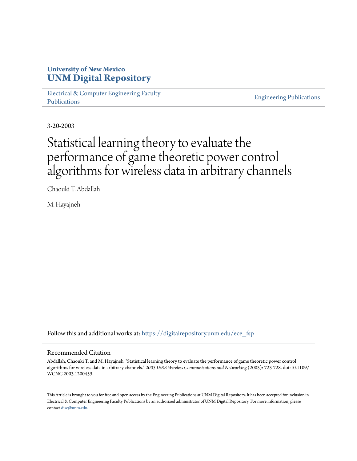## **University of New Mexico [UNM Digital Repository](https://digitalrepository.unm.edu?utm_source=digitalrepository.unm.edu%2Fece_fsp%2F28&utm_medium=PDF&utm_campaign=PDFCoverPages)**

[Electrical & Computer Engineering Faculty](https://digitalrepository.unm.edu/ece_fsp?utm_source=digitalrepository.unm.edu%2Fece_fsp%2F28&utm_medium=PDF&utm_campaign=PDFCoverPages) [Publications](https://digitalrepository.unm.edu/ece_fsp?utm_source=digitalrepository.unm.edu%2Fece_fsp%2F28&utm_medium=PDF&utm_campaign=PDFCoverPages)

[Engineering Publications](https://digitalrepository.unm.edu/eng_fsp?utm_source=digitalrepository.unm.edu%2Fece_fsp%2F28&utm_medium=PDF&utm_campaign=PDFCoverPages)

3-20-2003

# Statistical learning theory to evaluate the performance of game theoretic power control algorithms for wireless data in arbitrary channels

Chaouki T. Abdallah

M. Hayajneh

Follow this and additional works at: [https://digitalrepository.unm.edu/ece\\_fsp](https://digitalrepository.unm.edu/ece_fsp?utm_source=digitalrepository.unm.edu%2Fece_fsp%2F28&utm_medium=PDF&utm_campaign=PDFCoverPages)

### Recommended Citation

Abdallah, Chaouki T. and M. Hayajneh. "Statistical learning theory to evaluate the performance of game theoretic power control algorithms for wireless data in arbitrary channels." *2003 IEEE Wireless Communications and Networking* (2003): 723-728. doi:10.1109/ WCNC.2003.1200459.

This Article is brought to you for free and open access by the Engineering Publications at UNM Digital Repository. It has been accepted for inclusion in Electrical & Computer Engineering Faculty Publications by an authorized administrator of UNM Digital Repository. For more information, please contact [disc@unm.edu.](mailto:disc@unm.edu)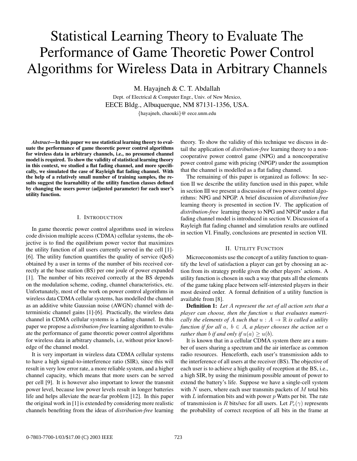# Statistical Learning Theory to Evaluate The Performance of Game Theoretic Power Control Algorithms for Wireless Data in Arbitrary Channels

M. Hayajneh & C. T. Abdallah

Dept. of Electrical & Computer Engr., Univ. of New Mexico, EECE Bldg., Albuquerque, NM 87131-1356, USA.

*{*hayajneh, chaouki*}*@ eece.unm.edu

*Abstract***—In this paper we use statistical learning theory to evaluate the performance of game theoretic power control algorithms for wireless data in arbitrary channels, i.e., no presumed channel model is required. To show the validity of statistical learning theory in this context, we studied a flat fading channel, and more specifically, we simulated the case of Rayleigh flat fading channel. With the help of a relatively small number of training samples, the results suggest the learnability of the utility function classes defined by changing the users power (adjusted parameter) for each user's utility function.**

#### I. INTRODUCTION

In game theoretic power control algorithms used in wireless code division multiple access (CDMA) cellular systems, the objective is to find the equilibrium power vector that maximizes the utility function of all users currently served in the cell [1]- [6]. The utility function quantifies the quality of service  $(QoS)$ obtained by a user in terms of the number of bits received correctly at the base station (BS) per one joule of power expanded [1]. The number of bits received correctly at the BS depends on the modulation scheme, coding, channel characteristics, etc. Unfortunately, most of the work on power control algorithms in wireless data CDMA cellular systems, has modelled the channel as an additive white Gaussian noise (AWGN) channel with deterministic channel gains [1]-[6]. Practically, the wireless data channel in CDMA cellular systems is a fading channel. In this paper we propose a *distribution-free* learning algorithm to evaluate the performance of game theoretic power control algorithms for wireless data in arbitrary channels, i.e, without prior knowledge of the channel model.

It is very important in wireless data CDMA cellular systems to have a high signal-to-interference ratio (SIR), since this will result in very low error rate, a more reliable system, and a higher channel capacity, which means that more users can be served per cell [9]. It is however also important to lower the transmit power level, because low power levels result in longer batteries life and helps alleviate the near-far problem [12]. In this paper the original work in [1] is extended by considering more realistic channels benefiting from the ideas of *distribution-free* learning

theory. To show the validity of this technique we discuss in detail the application of *distribution-free* learning theory to a noncooperative power control game (NPG) and a noncooperative power control game with pricing (NPGP) under the assumption that the channel is modelled as a flat fading channel.

The remaining of this paper is organized as follows: In section II we describe the utility function used in this paper, while in section III we present a discussion of two power control algorithms: NPG and NPGP. A brief discussion of *distribution-free* learning theory is presented in section IV. The application of *distribution-free* learning theory to NPG and NPGP under a flat fading channel model is introduced in section V. Discussion of a Rayleigh flat fading channel and simulation results are outlined in section VI. Finally, conclusions are presented in section VII.

#### II. UTILITY FUNCTION

Microeconomists use the concept of a utility function to quantify the level of satisfaction a player can get by choosing an action from its strategy profile given the other players' actions. A utility function is chosen in such a way that puts all the elements of the game taking place between self-interested players in their most desired order. A formal definition of a utility function is available from [8].

**Definition 1:** *Let A represent the set of all action sets that a player can choose, then the function u that evaluates numerically the elements of A such that*  $u : A \rightarrow \mathbb{R}$  *is called a utility function if for all*  $a, b \in A$ *, a player chooses the action set*  $a$ *rather than b if and only if*  $u(a) \geq u(b)$ *.* 

It is known that in a cellular CDMA system there are a number of users sharing a spectrum and the air interface as common radio resources. Henceforth, each user's transmission adds to the interference of all users at the receiver (BS). The objective of each user is to achieve a high quality of reception at the BS, i.e., a high SIR, by using the minimum possible amount of power to extend the battery's life. Suppose we have a single-cell system with *N* users, where each user transmits packets of *M* total bits with *L* information bits and with power *p* Watts per bit. The rate of transmission is *R* bits/sec for all users. Let  $P_c(\gamma)$  represents the probability of correct reception of all bits in the frame at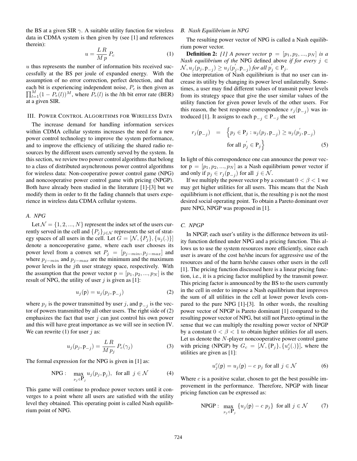the BS at a given SIR  $\gamma$ . A suitable utility function for wireless data in CDMA system is then given by (see [1] and references therein):

$$
u = \frac{LR}{Mp} P_c \tag{1}
$$

*u* thus represents the number of information bits received successfully at the BS per joule of expanded energy. With the assumption of no error correction, perfect detection, and that  $\prod_{l=1}^{M} (1 - P_e(l))^M$ , where  $\hat{P}_e(l)$  is the *l*th bit error rate (BER) each bit is experiencing independent noise, *P<sup>c</sup>* is then given as at a given SIR.

#### III. POWER CONTROL ALGORITHMS FOR WIRELESS DATA

The increase demand for handling information services within CDMA cellular systems increases the need for a new power control technology to improve the system performance, and to improve the efficiency of utilizing the shared radio resources by the different users currently served by the system. In this section, we review two power control algorithms that belong to a class of distributed asynchronous power control algorithms for wireless data: Non-cooperative power control game (NPG) and noncooperative power control game with pricing (NPGP). Both have already been studied in the literature [1]-[3] but we modify them in order to fit the fading channels that users experience in wireless data CDMA cellular systems.

#### *A. NPG*

Let  $\mathcal{N} = \{1, 2, ..., N\}$  represent the index set of the users currently served in the cell and  $\{P_j\}_{j \in \mathcal{N}}$  represents the set of strategy spaces of all users in the cell. Let  $G = [\mathcal{N}, \{P_j\}, \{u_j(.)\}]$ denote a noncooperative game, where each user chooses its power level from a convex set  $P_j = [p_{j - min}, p_{j - max}]$  and where *p<sup>j</sup>−min* and *p<sup>j</sup>−max* are the minimum and the maximum power levels in the *j*th user strategy space, respectively. With the assumption that the power vector  $p = [p_1, p_2, ..., p_N]$  is the result of NPG, the utility of user  $j$  is given as [1]:

$$
u_j(\mathbf{p}) = u_j(p_j, \mathbf{p}_{-j})
$$
\n(2)

where  $p_j$  is the power transmitted by user *j*, and  $p_{-j}$  is the vector of powers transmitted by all other users. The right side of (2) emphasizes the fact that user *j* can just control his own power and this will have great importance as we will see in section IV. We can rewrite (1) for user *j* as:

$$
u_j(p_j, \mathbf{p}_{-j}) = \frac{LR}{Mp_j} P_c(\gamma_j)
$$
 (3)

The formal expression for the NPG is given in [1] as:

$$
\text{NPG}: \quad \max_{p_j \in \mathbf{P}_j} u_j(p_j, \mathbf{p}_j), \text{ for all } j \in \mathcal{N} \tag{4}
$$

This game will continue to produce power vectors until it converges to a point where all users are satisfied with the utility level they obtained. This operating point is called Nash equilibrium point of NPG.

#### *B. Nash Equilibrium in NPG*

The resulting power vector of NPG is called a Nash equilibrium power vector.

**Definition 2:** [1] A power vector  $p = [p_1, p_2, ..., p_N]$  is a *Nash equilibrium of the* NPG defined above *if for every j ∈*  $\mathcal{N}, u_j(p_j, p_{-j}) \geq u_j(p'_j, p_{-j})$  for all  $p'_j \in P_j$ .

One interpretation of Nash equilibrium is that no user can increase its utility by changing its power level unilaterally. Sometimes, a user may find different values of transmit power levels from its strategy space that give the user similar values of the utility function for given power levels of the other users. For this reason, the best response correspondence  $r_j(p_{-i})$  was introduced [1]. It assigns to each  $p_{-j}$  ∈  $P_{-j}$  the set

$$
r_j(\mathbf{p}_{-j}) = \left\{ p_j \in \mathbf{P}_j : u_j(p_j, \mathbf{p}_{-j}) \ge u_j(p'_j, \mathbf{p}_{-j}) \right\}
$$
  
for all  $p'_j \in \mathbf{P}_j$  (5)

In light of this correspondence one can announce the power vector  $p = [p_1, p_2, ..., p_N]$  as a Nash equilibrium power vector if and only if  $p_j \in r_j(p_{-j})$  for all  $j \in \mathcal{N}$ .

If we multiply the power vector p by a constant  $0 < \beta < 1$  we may get higher utilities for all users. This means that the Nash equilibrium is not efficient, that is, the resulting p is not the most desired social operating point. To obtain a Pareto dominant over pure NPG, NPGP was proposed in [1].

#### *C. NPGP*

In NPGP, each user's utility is the difference between its utility function defined under NPG and a pricing function. This allows us to use the system resources more efficiently, since each user is aware of the cost he/she incurs for aggressive use of the resources and of the harm he/she causes other users in the cell [1]. The pricing function discussed here is a linear pricing function, i.e., it is a pricing factor multiplied by the transmit power. This pricing factor is announced by the BS to the users currently in the cell in order to impose a Nash equilibrium that improves the sum of all utilities in the cell at lower power levels compared to the pure NPG [1]-[3]. In other words, the resulting power vector of NPGP is Pareto dominant [1] compared to the resulting power vector of NPG, but still not Pareto optimal in the sense that we can multiply the resulting power vector of NPGP by a constant  $0 < \beta < 1$  to obtain higher utilities for all users. Let us denote the *N*-player noncooperative power control game with pricing (NPGP) by  $G_c = [\mathcal{N}, {\{P_j\}}, {u_j^c(.)\}],$  where the utilities are given as [1]:

$$
u_j^c(\mathbf{p}) = u_j(\mathbf{p}) - c \ p_j \text{ for all } j \in \mathcal{N} \tag{6}
$$

Where *c* is a positive scalar, chosen to get the best possible improvement in the performance. Therefore, NPGP with linear pricing function can be expressed as:

$$
\text{NPGP}: \max_{p_j \in \mathbf{P}_j} \{ u_j(\mathbf{p}) - c \ p_j \} \text{ for all } j \in \mathcal{N} \tag{7}
$$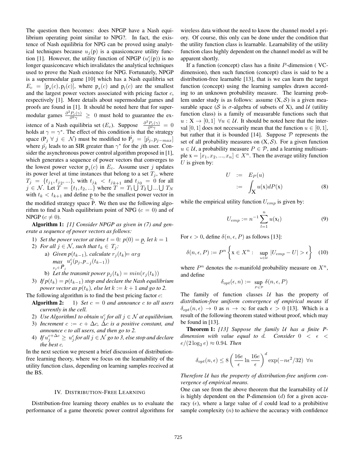The question then becomes: does NPGP have a Nash equilibrium operating point similar to NPG?. In fact, the existence of Nash equilibria for NPG can be proved using analytical techniques because  $u_j(p)$  is a quasiconcave utility function [1]. However, the utility function of NPGP  $(u_j^c(p))$  is no longer quasiconcave which invalidates the analytical techniques used to prove the Nash existence for NPG. Fortunately, NPGP is a supermodular game [10] which has a Nash equilibria set  $E_c = [\mathbf{p}_s(c), \mathbf{p}_l(c)]$ , where  $\mathbf{p}_s(c)$  and  $\mathbf{p}_l(c)$  are the smallest and the largest power vectors associated with pricing factor *c*, respectively [1]. More details about supermodular games and proofs are found in [1]. It should be noted here that for supermodular games  $\frac{\partial^2 P_c(\gamma)}{\partial^2 \gamma} \geq 0$  must hold to guarantee the existence of a Nash equilibria set  $(E_c)$ . Suppose  $\frac{\partial^2 P_c(\gamma)}{\partial^2 \gamma} = 0$ holds at  $\gamma = \gamma^*$ . The effect of this condition is that the strategy space  $(P_j \forall j \in \mathcal{N})$  must be modified to  $\hat{P_j} = [\tilde{p}_j, p_{j-max}]$ where  $\tilde{p}_j$  leads to an SIR greater than  $\gamma^*$  for the *j*th user. Consider the asynchronous power control algorithm proposed in [1], which generates a sequence of power vectors that converges to the lowest power vector  $p_s(c)$  in  $E_c$ . Assume user *j* updates its power level at time instances that belong to a set  $T_j$ , where  $T_j = \{t_{j1}, t_{j2}, ...\}$ , with  $t_{j_k} < t_{j_{k+1}}$  and  $t_{j_0} = 0$  for all  $j \in \mathcal{N}$ . Let  $T = \{t_1, t_2, ...\}$  where  $T = T_1 \cup T_2 \cup ... \cup T_N$ with  $t_k < t_{k+1}$  and define p to be the smallest power vector in the modified strategy space  $\overline{P}$ . We then use the following algorithm to find a Nash equilibrium point of NPG  $(c = 0)$  and of NPGP  $(c \neq 0)$ .

**Algorithm 1:** *[1] Consider NPGP as given in (7) and generate a sequence of power vectors as follows:*

- 1) *Set the power vector at time*  $t = 0$ *:*  $p(0) = p$ *, let*  $k = 1$
- 2) *For all*  $j \in \mathcal{N}$ *, such that*  $t_k \in T_j$ *:* 
	- a) *Given*  $p(t_{k-1})$ *, calculate*  $r_i(t_k)$  =  $arg$ *max*  $p_j ∈ \hat{P}_j$ *uc <sup>j</sup>* (*p<sup>j</sup> , <sup>p</sup>−<sup>j</sup>* (*t<sup>k</sup>−*1))
	- b) Let the transmit power  $p_j(t_k) = min(r_j(t_k))$
- 3) *If*  $p(t_k) = p(t_{k-1})$  *stop and declare the Nash equilibrium power vector as*  $p(t_k)$ *, else let*  $k := k + 1$  *and go to 2.*

The following algorithm is to find the best pricing factor *c*:

- **Algorithm 2:** 1) *Set*  $c = 0$  *and announce*  $c$  *to all users currently in the cell.*
- 2) *Use Algorithm1 to obtain*  $u_j^c$  *for all*  $j \in \mathcal{N}$  *at equilibrium.*
- 3) *Increment*  $c := c + \Delta c$ *,*  $\Delta c$  *is a positive constant, and announce c to all users, and then go to 2.*
- 4) *If u<sup>c</sup>*+∆*<sup>c</sup> <sup>j</sup> <sup>≥</sup> <sup>u</sup><sup>c</sup> <sup>j</sup> for all j ∈ N go to 3, else stop and declare the best c.*

In the next section we present a brief discussion of distributionfree learning theory, where we focus on the learnability of the utility function class, depending on learning samples received at the BS.

#### IV. DISTRIBUTION-FREE LEARNING

Distribution-free learning theory enables us to evaluate the performance of a game theoretic power control algorithms for wireless data without the need to know the channel model a priory. Of course, this only can be done under the condition that the utility function class is learnable. Learnability of the utility function class highly dependent on the channel model as will be apparent shortly.

If a function (concept) class has a finite *P*-dimension ( VCdimension), then such function (concept) class is said to be a distribution-free learnable [13], that is we can learn the target function (concept) using the learning samples drawn according to an unknown probability measure. The learning problem under study is as follows: assume  $(X, S)$  is a given measurable space ( $S$  is  $\sigma$ -algebra of subsets of X), and  $U$  (utility function class) is a family of measurable functions such that  $u: X \to [0, 1]$   $\forall u \in \mathcal{U}$ . It should be noted here that the interval [0, 1] does not necessarily mean that the function  $u \in [0, 1]$ , but rather that it is bounded [14]. Suppose  $P$  represents the set of all probability measures on  $(X, S)$ . For a given function  $u \in \mathcal{U}$ , a probability measure  $P \in \mathcal{P}$ , and a learning multisample  $\mathbf{x} = [x_1, x_2, ..., x_n] \in X^n$ . Then the average utility function *U* is given by:

$$
U := E_P(u)
$$
  
 :=  $\int_X u(x)dP(x)$  (8)

while the empirical utility function *Uemp* is given by:

$$
U_{emp} := n^{-1} \sum_{l=1}^{n} u(\mathbf{x}_l)
$$
 (9)

For  $\epsilon > 0$ , define  $\delta(n, \epsilon, P)$  as follows [13]:

$$
\delta(n, \epsilon, P) := P^n \left\{ \mathbf{x} \in X^n : \sup_{u \in \mathcal{U}} |U_{emp} - U| > \epsilon \right\} \tag{10}
$$

where  $P^n$  denotes the *n*-manifold probability measure on  $X^n$ , and define

$$
\delta_{opt}(\epsilon, n) := \sup_{P \in \mathcal{P}} \delta(n, \epsilon, P)
$$

The family of function classes *U* has the property of *distribution-free uniform convergence of empirical means* if  $\delta_{opt}(n, \epsilon) \rightarrow 0$  as  $n \rightarrow \infty$  for each  $\epsilon > 0$  [13]. Which is a result of the following theorem stated without proof, which may be found in [13].

**Theorem 1:** *[13] Suppose the family U has a finite Pdimension with value equal to d. Consider*  $0 < \epsilon <$  $e/(2\log_2 e) \approx 0.94$ *. Then* 

$$
\delta_{opt}(n,\epsilon) \le 8 \left( \frac{16e}{\epsilon} \ln \frac{16e}{\epsilon} \right)^d \exp(-n\epsilon^2/32) \ \ \forall n
$$

*Therefore U has the property of distribution-free uniform convergence of empirical means.*

One can see from the above theorem that the learnability of *U* is highly dependent on the P-dimension (*d*) for a given accuracy  $(\epsilon)$ , where a large value of *d* could lead to a prohibitive sample complexity (*n*) to achieve the accuracy with confidence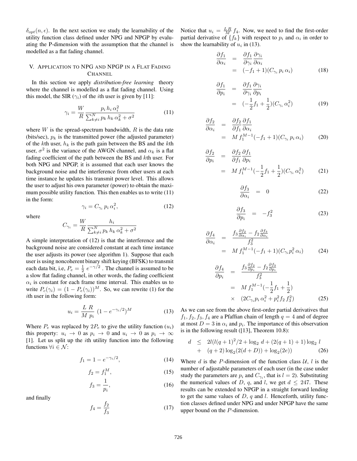$\delta_{opt}(n, \epsilon)$ . In the next section we study the learnability of the utility function class defined under NPG and NPGP by evaluating the P-dimension with the assumption that the channel is modelled as a flat fading channel.

### V. APPLICATION TO NPG AND NPGP IN A FLAT FADING **CHANNEL**

In this section we apply *distribution-free learning* theory where the channel is modelled as a flat fading channel. Using this model, the SIR  $(\gamma_i)$  of the *i*th user is given by [11]:

$$
\gamma_i = \frac{W}{R} \frac{p_i h_i \alpha_i^2}{\sum_{k \neq i}^N p_k h_k \alpha_k^2 + \sigma^2}
$$
(11)

where *W* is the spread-spectrum bandwidth, *R* is the data rate (bits/sec),  $p_k$  is the transmitted power (the adjusted parameter) of the *k*th user, *h<sup>k</sup>* is the path gain between the BS and the *k*th user,  $\sigma^2$  is the variance of the AWGN channel, and  $\alpha_k$  is a flat fading coefficient of the path between the BS and *k*th user. For both NPG and NPGP, it is assumed that each user knows the background noise and the interference from other users at each time instance he updates his transmit power level. This allows the user to adjust his own parameter (power) to obtain the maximum possible utility function. This then enables us to write (11) in the form:

$$
\gamma_i = C_{\gamma_i} p_i \alpha_i^2,\tag{12}
$$

where

$$
C_{\gamma_i} = \frac{W}{R} \frac{h_i}{\sum_{k \neq i}^N p_k h_k \alpha_k^2 + \sigma^2}
$$

A simple interpretation of (12) is that the interference and the background noise are considered constant at each time instance the user adjusts its power (see algorithm 1). Suppose that each user is using noncoherent binary shift keying (BFSK) to transmit each data bit, i.e,  $P_e = \frac{1}{2} e^{-\gamma/2}$ . The channel is assumed to be a slow flat fading channel, in other words, the fading coefficient  $\alpha_i$  is constant for each frame time interval. This enables us to write  $P_c(\gamma_i) = (1 - P_e(\gamma_i))^M$ . So, we can rewrite (1) for the *i*th user in the following form:

$$
u_i = \frac{L \ R}{M \ p_i} \ (1 - e^{-\gamma_i/2})^M \tag{13}
$$

Where  $P_e$  was replaced by  $2P_e$  to give the utility function  $(u_i)$ this property:  $u_i \rightarrow 0$  as  $p_i \rightarrow 0$  and  $u_i \rightarrow 0$  as  $p_i \rightarrow \infty$ [1]. Let us split up the *i*th utility function into the following functions  $\forall i \in \mathcal{N}$ :

$$
f_1 = 1 - e^{-\gamma_i/2},\tag{14}
$$

$$
f_2 = f_1^M,\tag{15}
$$

$$
f_3 = \frac{1}{p_i},\tag{16}
$$

and finally

$$
f_4 = \frac{f_2}{f_3} \tag{17}
$$

Notice that  $u_i = \frac{LR}{M_i} f_4$ . Now, we need to find the first-order partial derivative of  $\{f_k\}$  with respect to  $p_i$  and  $\alpha_i$  in order to show the learnability of  $u_i$  in (13).

$$
\frac{\partial f_1}{\partial \alpha_i} = \frac{\partial f_1}{\partial \gamma_i} \frac{\partial \gamma_i}{\partial \alpha_i} \n= (-f_1 + 1)(C_{\gamma_i} p_i \alpha_i)
$$
\n(18)

$$
\frac{\partial f_1}{\partial p_i} = \frac{\partial f_1}{\partial \gamma_i} \frac{\partial \gamma_i}{\partial p_i}
$$
  
=  $(-\frac{1}{2}f_1 + \frac{1}{2})(C_{\gamma_i} \alpha_i^2)$  (19)

$$
\frac{\partial f_2}{\partial \alpha_i} = \frac{\partial f_2}{\partial f_1} \frac{\partial f_1}{\partial \alpha_i}
$$
  
=  $M f_1^{M-1} (-f_1 + 1)(C_{\gamma_i} p_i \alpha_i)$  (20)

$$
\frac{\partial f_2}{\partial p_i} = \frac{\partial f_2}{\partial f_1} \frac{\partial f_1}{\partial p_i}
$$
  
=  $M f_1^{M-1} (-\frac{1}{2} f_1 + \frac{1}{2}) (C_{\gamma_i} \alpha_i^2)$  (21)

$$
\frac{\partial f_3}{\partial \alpha_i} = 0 \tag{22}
$$

$$
\frac{\partial f_3}{\partial p_i} = -f_3^2 \tag{23}
$$

$$
\frac{\partial f_4}{\partial \alpha_i} = \frac{f_3 \frac{\partial f_2}{\partial \alpha_i} - f_2 \frac{\partial f_3}{\partial \alpha_i}}{f_3^2}
$$
  
=  $M f_1^{M-1} (-f_1 + 1)(C_{\gamma_i} p_i^2 \alpha_i)$  (24)

$$
\frac{\partial f_4}{\partial p_i} = \frac{f_3 \frac{\partial f_2}{\partial p_i} - f_2 \frac{\partial f_3}{\partial p_i}}{f_3^2} \n= M f_1^{M-1} \left(-\frac{1}{2} f_1 + \frac{1}{2}\right) \n\times (2C_{\gamma_i} p_i \alpha_i^2 + p_i^2 f_2 f_3^2)
$$
\n(25)

As we can see from the above first-order partial derivatives that  $f_1, f_2, f_3, f_4$  are a Pfaffian chain of length  $q = 4$  and of degree at most  $D = 3$  in  $\alpha_i$  and  $p_i$ . The importance of this observation is in the following result ([13], Theorem 10.8):

$$
d \le 2l(l(q+1)^2/2 + \log_2 d + (2(q+1) + 1)\log_2 l + (q+2)\log_2(2(d+D)) + \log_2(2e))
$$
 (26)

Where  $d$  is the  $P$ -dimension of the function class  $U$ ,  $l$  is the number of adjustable parameters of each user (in the case under study the parameters are  $p_i$  and  $C_{\gamma_i}$ , that is  $l = 2$ ). Substituting the numerical values of *D*, *q*, and *l*, we get  $d \le 247$ . These results can be extended to NPGP in a straight forward lending to get the same values of *D*, *q* and *l*. Henceforth, utility function classes defined under NPG and under NPGP have the same upper bound on the *P*-dimension.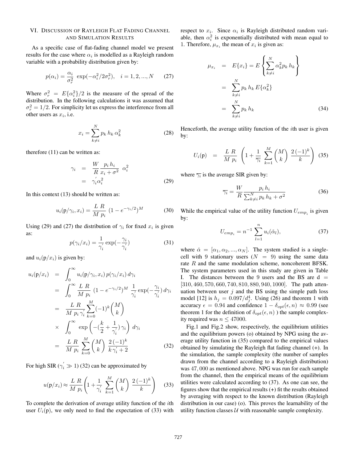#### VI. DISCUSSION OF RAYLEIGH FLAT FADING CHANNEL AND SIMULATION RESULTS

As a specific case of flat-fading channel model we present results for the case where  $\alpha_i$  is modelled as a Rayleigh random variable with a probability distribution given by:

$$
p(\alpha_i) = \frac{\alpha_i}{\sigma_r^2} \exp(-\alpha_i^2/2\sigma_r^2), \quad i = 1, 2, ..., N \qquad (27)
$$

Where  $\sigma_r^2 = E\{\alpha_i^2\}/2$  is the measure of the spread of the distribution. In the following calculations it was assumed that  $\sigma_r^2 = 1/2$ . For simplicity let us express the interference from all other users as *xi*, i.e.

$$
x_i = \sum_{k \neq i}^{N} p_k h_k \alpha_k^2 \tag{28}
$$

therefore (11) can be written as:

$$
\gamma_i = \frac{W}{R} \frac{p_i h_i}{x_i + \sigma^2} \alpha_i^2
$$
  
=  $\gamma_i' \alpha_i^2$  (29)

In this context (13) should be written as:

$$
u_i(p/\gamma_i, x_i) = \frac{L \, R}{M \, p_i} \, (1 - e^{-\gamma_i/2})^M \tag{30}
$$

Using (29) and (27) the distribution of  $\gamma_i$  for fixed  $x_i$  is given as:

$$
p(\gamma_i/x_i) = \frac{1}{\gamma_i'} \exp(-\frac{\gamma_i}{\gamma_i'})
$$
\n(31)

and  $u_i(p/x_i)$  is given by:

$$
u_i(\mathbf{p}/x_i) = \int_0^\infty u_i(\mathbf{p}/\gamma_i, x_i) p(\gamma_i/x_i) d\gamma_i
$$
  
\n
$$
= \int_0^\infty \frac{L \, R}{M \, p_i} (1 - e^{-\gamma_i/2})^M \, \frac{1}{\gamma_i} \exp(-\frac{\gamma_i}{\gamma_i}) d\gamma_i
$$
  
\n
$$
= \frac{L \, R}{M \, p_i \, \gamma_i} \sum_{k=0}^M (-1)^k {M \choose k}
$$
  
\n
$$
\times \int_0^\infty \exp\left(-(\frac{k}{2} + \frac{1}{\gamma_i}) \, \gamma_i\right) d\gamma_i
$$
  
\n
$$
= \frac{L \, R}{M \, p_i} \sum_{k=0}^M {M \choose k} \frac{2 \, (-1)^k}{k \, \gamma_i' + 2} \tag{32}
$$

For high SIR ( $\gamma_i' \gg 1$ ) (32) can be approximated by

$$
u(\mathbf{p}/x_i) \approx \frac{L \ R}{M \ p_i} \left( 1 + \frac{1}{\gamma_i} \sum_{k=1}^{M} {M \choose k} \ \frac{2 \ (-1)^k}{k} \right) \tag{33}
$$

To complete the derivation of average utility function of the *i*th user  $U_i(p)$ , we only need to find the expectation of (33) with respect to  $x_i$ . Since  $\alpha_i$  is Rayleigh distributed random variable, then  $\alpha_i^2$  is exponentially distributed with mean equal to 1. Therefore,  $\mu_{x_i}$  the mean of  $x_i$  is given as:

$$
\mu_{x_i} = E\{x_i\} = E\left\{\sum_{k \neq i}^N \alpha_k^2 p_k h_k\right\}
$$

$$
= \sum_{k \neq i}^N p_k h_k E\{\alpha_k^2\}
$$

$$
= \sum_{k \neq i}^N p_k h_k
$$
(34)

Henceforth, the average utility function of the *i*th user is given by:

$$
U_i(\mathbf{p}) = \frac{L \, R}{M \, p_i} \left( 1 + \frac{1}{\overline{\gamma_i}} \sum_{k=1}^M \binom{M}{k} \, \frac{2 \, (-1)^k}{k} \right) \tag{35}
$$

where  $\overline{\gamma_i}$  is the average SIR given by:

$$
\overline{\gamma_i} = \frac{W}{R} \frac{p_i h_i}{\sum_{k \neq i}^N p_k h_k + \sigma^2}
$$
(36)

While the empirical value of the utility function  $U_{emp_i}$  is given by:

$$
U_{emp_i} = n^{-1} \sum_{l=1}^{n} u_i(\check{\alpha}_l),
$$
 (37)

where  $\check{\alpha} = [\alpha_1, \alpha_2, ..., \alpha_N]$ . The system studied is a singlecell with 9 stationary users  $(N = 9)$  using the same data rate *R* and the same modulation scheme, noncoherent BFSK. The system parameters used in this study are given in Table I. The distances between the 9 users and the BS are  $d =$ [310*,* 460*,* 570*,* 660*,* 740*,* 810*,* 880*,* 940*,* 1000]. The path attenuation between user  $j$  and the BS using the simple path loss model [12] is  $h_j = 0.097/d_j^4$ . Using (26) and theorem 1 with accuracy  $\epsilon = 0.94$  and confidence  $1 - \delta_{opt}(\epsilon, n) \approx 0.99$  (see theorem 1 for the definition of  $\delta_{opt}(\epsilon, n)$ ) the sample complexity required was  $n \leq 47000$ .

Fig.1 and Fig.2 show, respectively, the equilibrium utilities and the equilibrium powers (o) obtained by NPG using the average utility function in (35) compared to the empirical values obtained by simulating the Rayleigh flat fading channel (+). In the simulation, the sample complexity (the number of samples drawn from the channel according to a Rayleigh distribution) was 47*,* 000 as mentioned above. NPG was run for each sample from the channel, then the empirical means of the equilibrium utilities were calculated according to (37). As one can see, the figures show that the empirical results  $(+)$  fit the results obtained by averaging with respect to the known distribution (Rayleigh distribution in our case) (o). This proves the learnability of the utility function classes  $U$  with reasonable sample complexity.